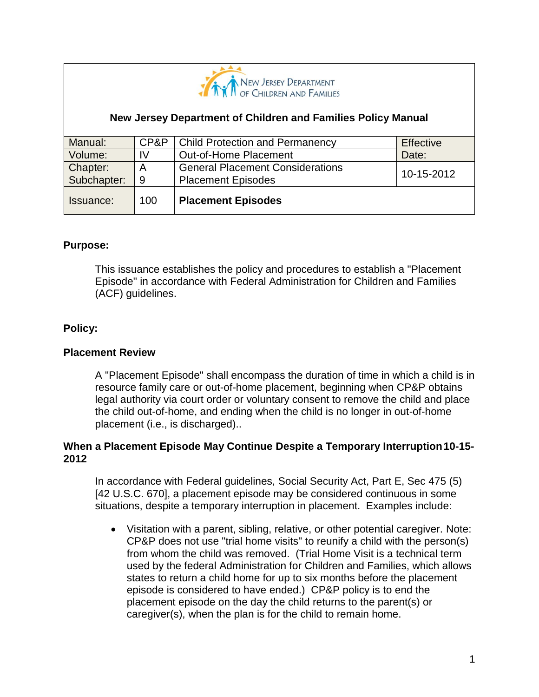

## **New Jersey Department of Children and Families Policy Manual**

| Manual:     | CP&P | <b>Child Protection and Permanency</b>  | Effective  |
|-------------|------|-----------------------------------------|------------|
| Volume:     | IV   | Out-of-Home Placement                   | Date:      |
| Chapter:    | A    | <b>General Placement Considerations</b> | 10-15-2012 |
| Subchapter: | -9   | <b>Placement Episodes</b>               |            |
| Issuance:   | 100  | <b>Placement Episodes</b>               |            |

#### **Purpose:**

This issuance establishes the policy and procedures to establish a "Placement Episode" in accordance with Federal Administration for Children and Families (ACF) guidelines.

### **Policy:**

#### **Placement Review**

A "Placement Episode" shall encompass the duration of time in which a child is in resource family care or out-of-home placement, beginning when CP&P obtains legal authority via court order or voluntary consent to remove the child and place the child out-of-home, and ending when the child is no longer in out-of-home placement (i.e., is discharged)..

### **When a Placement Episode May Continue Despite a Temporary Interruption10-15- 2012**

In accordance with Federal guidelines, Social Security Act, Part E, Sec 475 (5) [42 U.S.C. 670], a placement episode may be considered continuous in some situations, despite a temporary interruption in placement. Examples include:

 Visitation with a parent, sibling, relative, or other potential caregiver. Note: CP&P does not use "trial home visits" to reunify a child with the person(s) from whom the child was removed. (Trial Home Visit is a technical term used by the federal Administration for Children and Families, which allows states to return a child home for up to six months before the placement episode is considered to have ended.) CP&P policy is to end the placement episode on the day the child returns to the parent(s) or caregiver(s), when the plan is for the child to remain home.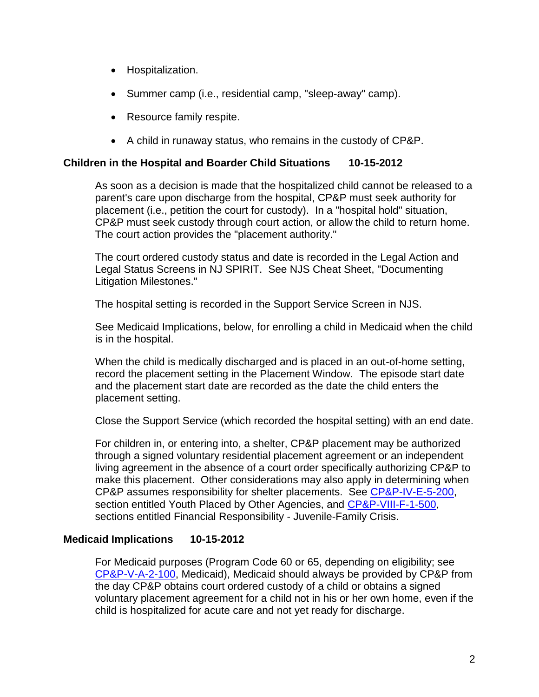- Hospitalization.
- Summer camp (i.e., residential camp, "sleep-away" camp).
- Resource family respite.
- A child in runaway status, who remains in the custody of CP&P.

### **Children in the Hospital and Boarder Child Situations 10-15-2012**

As soon as a decision is made that the hospitalized child cannot be released to a parent's care upon discharge from the hospital, CP&P must seek authority for placement (i.e., petition the court for custody). In a "hospital hold" situation, CP&P must seek custody through court action, or allow the child to return home. The court action provides the "placement authority."

The court ordered custody status and date is recorded in the Legal Action and Legal Status Screens in NJ SPIRIT. See NJS Cheat Sheet, "Documenting Litigation Milestones."

The hospital setting is recorded in the Support Service Screen in NJS.

See Medicaid Implications, below, for enrolling a child in Medicaid when the child is in the hospital.

When the child is medically discharged and is placed in an out-of-home setting, record the placement setting in the Placement Window. The episode start date and the placement start date are recorded as the date the child enters the placement setting.

Close the Support Service (which recorded the hospital setting) with an end date.

For children in, or entering into, a shelter, CP&P placement may be authorized through a signed voluntary residential placement agreement or an independent living agreement in the absence of a court order specifically authorizing CP&P to make this placement. Other considerations may also apply in determining when CP&P assumes responsibility for shelter placements. See [CP&P-IV-E-5-200,](CPP-IV-E-5-200_issuance.shtml) section entitled Youth Placed by Other Agencies, and [CP&P-VIII-F-1-500,](CPP-VIII-F-1-500_issuance.shtml) sections entitled Financial Responsibility - Juvenile-Family Crisis.

### **Medicaid Implications 10-15-2012**

For Medicaid purposes (Program Code 60 or 65, depending on eligibility; see [CP&P-V-A-2-100,](CPP-V-A-2-100_issuance.shtml) Medicaid), Medicaid should always be provided by CP&P from the day CP&P obtains court ordered custody of a child or obtains a signed voluntary placement agreement for a child not in his or her own home, even if the child is hospitalized for acute care and not yet ready for discharge.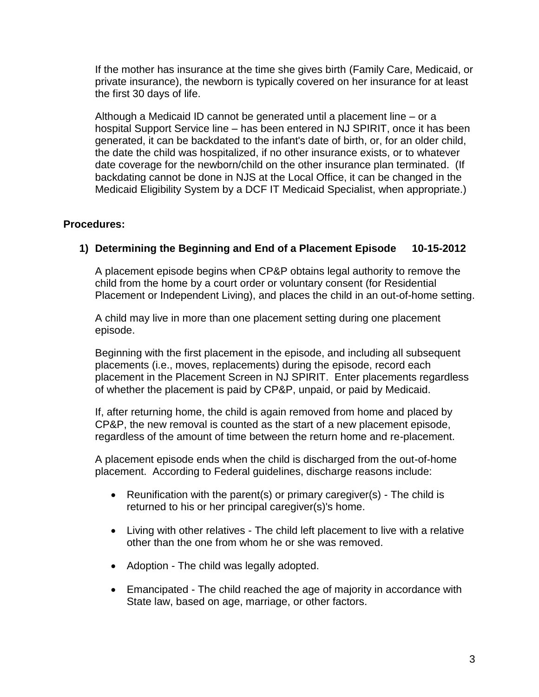If the mother has insurance at the time she gives birth (Family Care, Medicaid, or private insurance), the newborn is typically covered on her insurance for at least the first 30 days of life.

Although a Medicaid ID cannot be generated until a placement line – or a hospital Support Service line – has been entered in NJ SPIRIT, once it has been generated, it can be backdated to the infant's date of birth, or, for an older child, the date the child was hospitalized, if no other insurance exists, or to whatever date coverage for the newborn/child on the other insurance plan terminated. (If backdating cannot be done in NJS at the Local Office, it can be changed in the Medicaid Eligibility System by a DCF IT Medicaid Specialist, when appropriate.)

## **Procedures:**

# **1) Determining the Beginning and End of a Placement Episode 10-15-2012**

A placement episode begins when CP&P obtains legal authority to remove the child from the home by a court order or voluntary consent (for Residential Placement or Independent Living), and places the child in an out-of-home setting.

A child may live in more than one placement setting during one placement episode.

Beginning with the first placement in the episode, and including all subsequent placements (i.e., moves, replacements) during the episode, record each placement in the Placement Screen in NJ SPIRIT. Enter placements regardless of whether the placement is paid by CP&P, unpaid, or paid by Medicaid.

If, after returning home, the child is again removed from home and placed by CP&P, the new removal is counted as the start of a new placement episode, regardless of the amount of time between the return home and re-placement.

A placement episode ends when the child is discharged from the out-of-home placement. According to Federal guidelines, discharge reasons include:

- Reunification with the parent(s) or primary caregiver(s) The child is returned to his or her principal caregiver(s)'s home.
- Living with other relatives The child left placement to live with a relative other than the one from whom he or she was removed.
- Adoption The child was legally adopted.
- Emancipated The child reached the age of majority in accordance with State law, based on age, marriage, or other factors.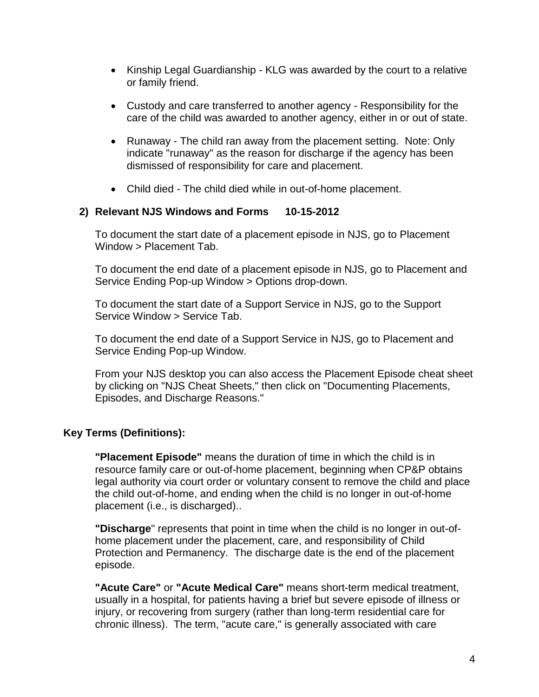- Kinship Legal Guardianship KLG was awarded by the court to a relative or family friend.
- Custody and care transferred to another agency Responsibility for the care of the child was awarded to another agency, either in or out of state.
- Runaway The child ran away from the placement setting. Note: Only indicate "runaway" as the reason for discharge if the agency has been dismissed of responsibility for care and placement.
- Child died The child died while in out-of-home placement.

## **2) Relevant NJS Windows and Forms 10-15-2012**

To document the start date of a placement episode in NJS, go to Placement Window > Placement Tab.

To document the end date of a placement episode in NJS, go to Placement and Service Ending Pop-up Window > Options drop-down.

To document the start date of a Support Service in NJS, go to the Support Service Window > Service Tab.

To document the end date of a Support Service in NJS, go to Placement and Service Ending Pop-up Window.

From your NJS desktop you can also access the Placement Episode cheat sheet by clicking on "NJS Cheat Sheets," then click on "Documenting Placements, Episodes, and Discharge Reasons."

# **Key Terms (Definitions):**

**"Placement Episode"** means the duration of time in which the child is in resource family care or out-of-home placement, beginning when CP&P obtains legal authority via court order or voluntary consent to remove the child and place the child out-of-home, and ending when the child is no longer in out-of-home placement (i.e., is discharged)..

**"Discharge**" represents that point in time when the child is no longer in out-ofhome placement under the placement, care, and responsibility of Child Protection and Permanency. The discharge date is the end of the placement episode.

**"Acute Care"** or **"Acute Medical Care"** means short-term medical treatment, usually in a hospital, for patients having a brief but severe episode of illness or injury, or recovering from surgery (rather than long-term residential care for chronic illness). The term, "acute care," is generally associated with care